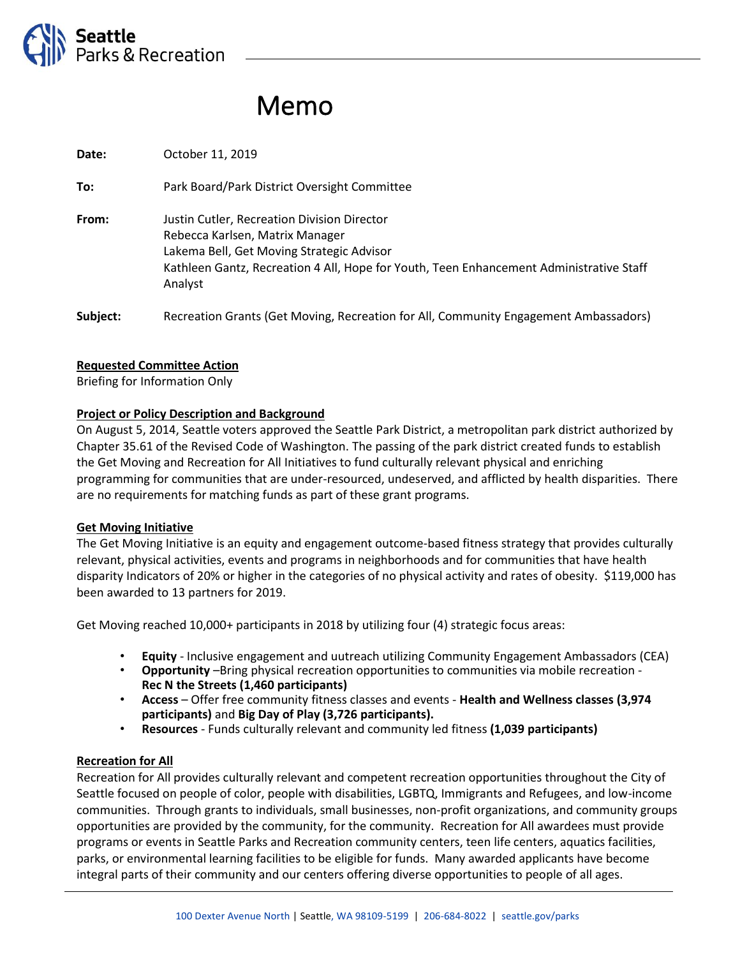

# Memo

**Date:** October 11, 2019 **To:** Park Board/Park District Oversight Committee **From:** Justin Cutler, Recreation Division Director Rebecca Karlsen, Matrix Manager Lakema Bell, Get Moving Strategic Advisor Kathleen Gantz, Recreation 4 All, Hope for Youth, Teen Enhancement Administrative Staff Analyst Subject: Recreation Grants (Get Moving, Recreation for All, Community Engagement Ambassadors)

# **Requested Committee Action**

Briefing for Information Only

## **Project or Policy Description and Background**

On August 5, 2014, Seattle voters approved the Seattle Park District, a metropolitan park district authorized by Chapter 35.61 of the Revised Code of Washington. The passing of the park district created funds to establish the Get Moving and Recreation for All Initiatives to fund culturally relevant physical and enriching programming for communities that are under-resourced, undeserved, and afflicted by health disparities. There are no requirements for matching funds as part of these grant programs.

#### **Get Moving Initiative**

The Get Moving Initiative is an equity and engagement outcome-based fitness strategy that provides culturally relevant, physical activities, events and programs in neighborhoods and for communities that have health disparity Indicators of 20% or higher in the categories of no physical activity and rates of obesity. \$119,000 has been awarded to 13 partners for 2019.

Get Moving reached 10,000+ participants in 2018 by utilizing four (4) strategic focus areas:

- **Equity**  Inclusive engagement and uutreach utilizing Community Engagement Ambassadors (CEA)
- **Opportunity** –Bring physical recreation opportunities to communities via mobile recreation **Rec N the Streets (1,460 participants)**
- **Access** Offer free community fitness classes and events **Health and Wellness classes (3,974 participants)** and **Big Day of Play (3,726 participants).**
- **Resources** Funds culturally relevant and community led fitness **(1,039 participants)**

#### **Recreation for All**

Recreation for All provides culturally relevant and competent recreation opportunities throughout the City of Seattle focused on people of color, people with disabilities, LGBTQ, Immigrants and Refugees, and low-income communities. Through grants to individuals, small businesses, non-profit organizations, and community groups opportunities are provided by the community, for the community. Recreation for All awardees must provide programs or events in Seattle Parks and Recreation community centers, teen life centers, aquatics facilities, parks, or environmental learning facilities to be eligible for funds. Many awarded applicants have become integral parts of their community and our centers offering diverse opportunities to people of all ages.